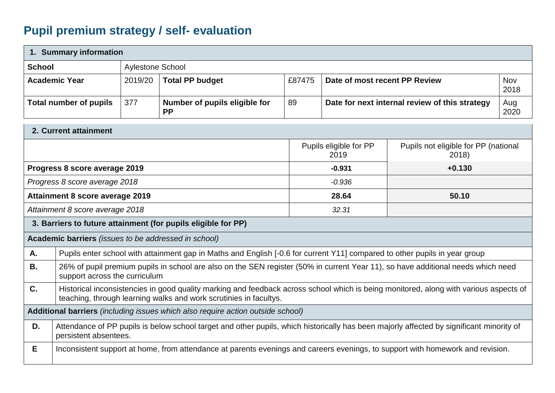## **Pupil premium strategy / self- evaluation**

|               | 1. Summary information                                                          |                         |                                                                                                                                                                                                            |        |                               |                                                |                    |
|---------------|---------------------------------------------------------------------------------|-------------------------|------------------------------------------------------------------------------------------------------------------------------------------------------------------------------------------------------------|--------|-------------------------------|------------------------------------------------|--------------------|
| <b>School</b> |                                                                                 | <b>Aylestone School</b> |                                                                                                                                                                                                            |        |                               |                                                |                    |
|               | <b>Academic Year</b>                                                            | 2019/20                 | <b>Total PP budget</b>                                                                                                                                                                                     | £87475 | Date of most recent PP Review |                                                | <b>Nov</b><br>2018 |
|               | <b>Total number of pupils</b>                                                   | 377                     | Number of pupils eligible for<br><b>PP</b>                                                                                                                                                                 | 89     |                               | Date for next internal review of this strategy | Aug<br>2020        |
|               | 2. Current attainment                                                           |                         |                                                                                                                                                                                                            |        |                               |                                                |                    |
|               | Pupils eligible for PP<br>Pupils not eligible for PP (national<br>2019<br>2018) |                         |                                                                                                                                                                                                            |        |                               |                                                |                    |
|               | Progress 8 score average 2019<br>$-0.931$<br>$+0.130$                           |                         |                                                                                                                                                                                                            |        |                               |                                                |                    |
|               | Progress 8 score average 2018                                                   |                         |                                                                                                                                                                                                            |        | $-0.936$                      |                                                |                    |
|               | <b>Attainment 8 score average 2019</b><br>28.64<br>50.10                        |                         |                                                                                                                                                                                                            |        |                               |                                                |                    |
|               | 32.31<br>Attainment 8 score average 2018                                        |                         |                                                                                                                                                                                                            |        |                               |                                                |                    |
|               |                                                                                 |                         | 3. Barriers to future attainment (for pupils eligible for PP)                                                                                                                                              |        |                               |                                                |                    |
|               | Academic barriers (issues to be addressed in school)                            |                         |                                                                                                                                                                                                            |        |                               |                                                |                    |
| А.            |                                                                                 |                         | Pupils enter school with attainment gap in Maths and English [-0.6 for current Y11] compared to other pupils in year group                                                                                 |        |                               |                                                |                    |
| <b>B.</b>     | support across the curriculum                                                   |                         | 26% of pupil premium pupils in school are also on the SEN register (50% in current Year 11), so have additional needs which need                                                                           |        |                               |                                                |                    |
| C.            |                                                                                 |                         | Historical inconsistencies in good quality marking and feedback across school which is being monitored, along with various aspects of<br>teaching, through learning walks and work scrutinies in facultys. |        |                               |                                                |                    |
|               |                                                                                 |                         | Additional barriers (including issues which also require action outside school)                                                                                                                            |        |                               |                                                |                    |
| D.            | persistent absentees.                                                           |                         | Attendance of PP pupils is below school target and other pupils, which historically has been majorly affected by significant minority of                                                                   |        |                               |                                                |                    |
| E.            |                                                                                 |                         | Inconsistent support at home, from attendance at parents evenings and careers evenings, to support with homework and revision.                                                                             |        |                               |                                                |                    |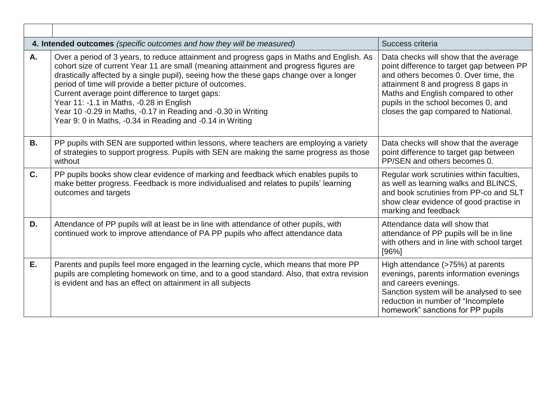|           | 4. Intended outcomes (specific outcomes and how they will be measured)                                                                                                                                                                                                                                                                                                                                                                                                                                                                                                   | Success criteria                                                                                                                                                                                                                                                                         |
|-----------|--------------------------------------------------------------------------------------------------------------------------------------------------------------------------------------------------------------------------------------------------------------------------------------------------------------------------------------------------------------------------------------------------------------------------------------------------------------------------------------------------------------------------------------------------------------------------|------------------------------------------------------------------------------------------------------------------------------------------------------------------------------------------------------------------------------------------------------------------------------------------|
| А.        | Over a period of 3 years, to reduce attainment and progress gaps in Maths and English. As<br>cohort size of current Year 11 are small (meaning attainment and progress figures are<br>drastically affected by a single pupil), seeing how the these gaps change over a longer<br>period of time will provide a better picture of outcomes.<br>Current average point difference to target gaps:<br>Year 11: -1.1 in Maths, -0.28 in English<br>Year 10 -0.29 in Maths, -0.17 in Reading and -0.30 in Writing<br>Year 9: 0 in Maths, -0.34 in Reading and -0.14 in Writing | Data checks will show that the average<br>point difference to target gap between PP<br>and others becomes 0. Over time, the<br>attainment 8 and progress 8 gaps in<br>Maths and English compared to other<br>pupils in the school becomes 0, and<br>closes the gap compared to National. |
| <b>B.</b> | PP pupils with SEN are supported within lessons, where teachers are employing a variety<br>of strategies to support progress. Pupils with SEN are making the same progress as those<br>without                                                                                                                                                                                                                                                                                                                                                                           | Data checks will show that the average<br>point difference to target gap between<br>PP/SEN and others becomes 0.                                                                                                                                                                         |
| C.        | PP pupils books show clear evidence of marking and feedback which enables pupils to<br>make better progress. Feedback is more individualised and relates to pupils' learning<br>outcomes and targets                                                                                                                                                                                                                                                                                                                                                                     | Regular work scrutinies within faculties,<br>as well as learning walks and BLINCS,<br>and book scrutinies from PP-co and SLT<br>show clear evidence of good practise in<br>marking and feedback                                                                                          |
| D.        | Attendance of PP pupils will at least be in line with attendance of other pupils, with<br>continued work to improve attendance of PA PP pupils who affect attendance data                                                                                                                                                                                                                                                                                                                                                                                                | Attendance data will show that<br>attendance of PP pupils will be in line<br>with others and in line with school target<br>[96%]                                                                                                                                                         |
| E.        | Parents and pupils feel more engaged in the learning cycle, which means that more PP<br>pupils are completing homework on time, and to a good standard. Also, that extra revision<br>is evident and has an effect on attainment in all subjects                                                                                                                                                                                                                                                                                                                          | High attendance (>75%) at parents<br>evenings, parents information evenings<br>and careers evenings.<br>Sanction system will be analysed to see<br>reduction in number of "Incomplete<br>homework" sanctions for PP pupils                                                               |

 $\Gamma$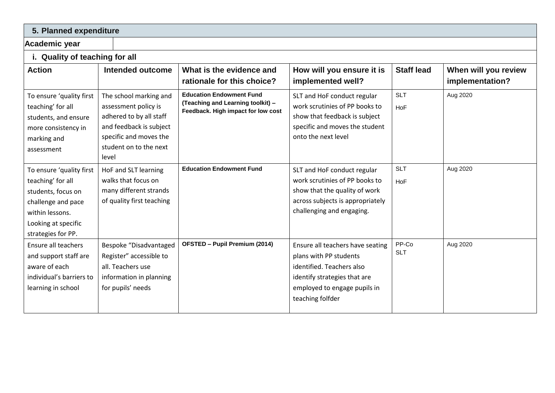## **5. Planned expenditure**

## **Academic year**

**i. Quality of teaching for all**

| <b>Action</b>                                                                                                                                             | Intended outcome                                                                                                                                                  | What is the evidence and<br>rationale for this choice?                                                     | How will you ensure it is<br>implemented well?                                                                                                                              | <b>Staff lead</b>   | When will you review<br>implementation? |
|-----------------------------------------------------------------------------------------------------------------------------------------------------------|-------------------------------------------------------------------------------------------------------------------------------------------------------------------|------------------------------------------------------------------------------------------------------------|-----------------------------------------------------------------------------------------------------------------------------------------------------------------------------|---------------------|-----------------------------------------|
| To ensure 'quality first<br>teaching' for all<br>students, and ensure<br>more consistency in<br>marking and<br>assessment                                 | The school marking and<br>assessment policy is<br>adhered to by all staff<br>and feedback is subject<br>specific and moves the<br>student on to the next<br>level | <b>Education Endowment Fund</b><br>(Teaching and Learning toolkit) -<br>Feedback. High impact for low cost | SLT and HoF conduct regular<br>work scrutinies of PP books to<br>show that feedback is subject<br>specific and moves the student<br>onto the next level                     | <b>SLT</b><br>HoF   | Aug 2020                                |
| To ensure 'quality first<br>teaching' for all<br>students, focus on<br>challenge and pace<br>within lessons.<br>Looking at specific<br>strategies for PP. | HoF and SLT learning<br>walks that focus on<br>many different strands<br>of quality first teaching                                                                | <b>Education Endowment Fund</b>                                                                            | SLT and HoF conduct regular<br>work scrutinies of PP books to<br>show that the quality of work<br>across subjects is appropriately<br>challenging and engaging.             | <b>SLT</b><br>HoF   | Aug 2020                                |
| Ensure all teachers<br>and support staff are<br>aware of each<br>individual's barriers to<br>learning in school                                           | Bespoke "Disadvantaged<br>Register" accessible to<br>all. Teachers use<br>information in planning<br>for pupils' needs                                            | <b>OFSTED - Pupil Premium (2014)</b>                                                                       | Ensure all teachers have seating<br>plans with PP students<br>identified. Teachers also<br>identify strategies that are<br>employed to engage pupils in<br>teaching folfder | PP-Co<br><b>SLT</b> | Aug 2020                                |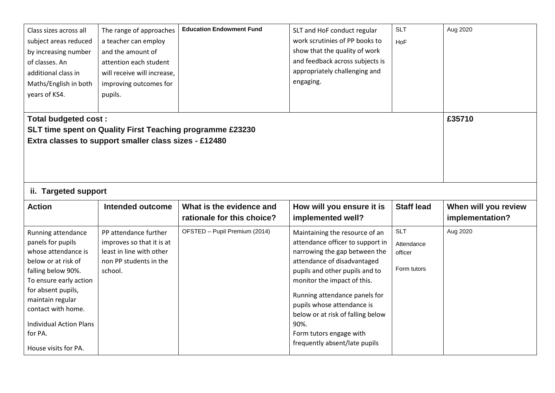| Class sizes across all<br>subject areas reduced<br>by increasing number<br>of classes. An<br>additional class in<br>Maths/English in both<br>years of KS4.                      | The range of approaches<br>a teacher can employ<br>and the amount of<br>attention each student<br>will receive will increase,<br>improving outcomes for<br>pupils. | <b>Education Endowment Fund</b>                           | SLT and HoF conduct regular<br>work scrutinies of PP books to<br>show that the quality of work<br>and feedback across subjects is<br>appropriately challenging and<br>engaging.                                                      | <b>SLT</b><br><b>HoF</b>                           | Aug 2020                                |
|---------------------------------------------------------------------------------------------------------------------------------------------------------------------------------|--------------------------------------------------------------------------------------------------------------------------------------------------------------------|-----------------------------------------------------------|--------------------------------------------------------------------------------------------------------------------------------------------------------------------------------------------------------------------------------------|----------------------------------------------------|-----------------------------------------|
| <b>Total budgeted cost:</b><br>ii. Targeted support                                                                                                                             | Extra classes to support smaller class sizes - £12480                                                                                                              | SLT time spent on Quality First Teaching programme £23230 |                                                                                                                                                                                                                                      |                                                    | £35710                                  |
| <b>Action</b>                                                                                                                                                                   | Intended outcome                                                                                                                                                   | What is the evidence and<br>rationale for this choice?    | How will you ensure it is<br>implemented well?                                                                                                                                                                                       | <b>Staff lead</b>                                  | When will you review<br>implementation? |
| Running attendance<br>panels for pupils<br>whose attendance is<br>below or at risk of<br>falling below 90%.<br>To ensure early action<br>for absent pupils,<br>maintain regular | PP attendance further<br>improves so that it is at<br>least in line with other<br>non PP students in the<br>school.                                                | OFSTED - Pupil Premium (2014)                             | Maintaining the resource of an<br>attendance officer to support in<br>narrowing the gap between the<br>attendance of disadvantaged<br>pupils and other pupils and to<br>monitor the impact of this.<br>Running attendance panels for | <b>SLT</b><br>Attendance<br>officer<br>Form tutors | Aug 2020                                |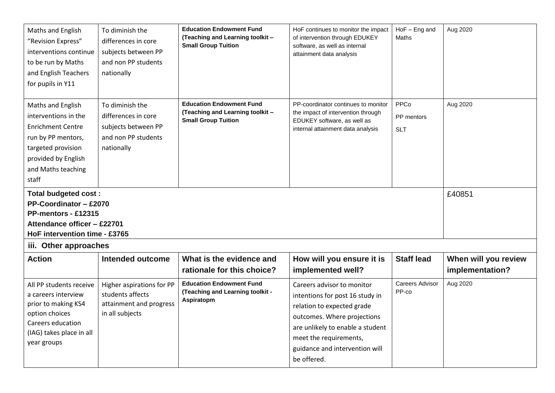| Maths and English<br>"Revision Express"<br>interventions continue<br>to be run by Maths<br>and English Teachers<br>for pupils in Y11                                    | To diminish the<br>differences in core<br>subjects between PP<br>and non PP students<br>nationally | <b>Education Endowment Fund</b><br>(Teaching and Learning toolkit -<br><b>Small Group Tuition</b> | HoF continues to monitor the impact<br>of intervention through EDUKEY<br>software, as well as internal<br>attainment data analysis                                                                                                        | $HoF - Eng$ and<br>Maths         | Aug 2020                                |
|-------------------------------------------------------------------------------------------------------------------------------------------------------------------------|----------------------------------------------------------------------------------------------------|---------------------------------------------------------------------------------------------------|-------------------------------------------------------------------------------------------------------------------------------------------------------------------------------------------------------------------------------------------|----------------------------------|-----------------------------------------|
| Maths and English<br>interventions in the<br><b>Enrichment Centre</b><br>run by PP mentors,<br>targeted provision<br>provided by English<br>and Maths teaching<br>staff | To diminish the<br>differences in core<br>subjects between PP<br>and non PP students<br>nationally | <b>Education Endowment Fund</b><br>(Teaching and Learning toolkit -<br><b>Small Group Tuition</b> | PP-coordinator continues to monitor<br>the impact of intervention through<br>EDUKEY software, as well as<br>internal attainment data analysis                                                                                             | PPCo<br>PP mentors<br><b>SLT</b> | Aug 2020                                |
| <b>Total budgeted cost:</b><br>PP-Coordinator - £2070<br>PP-mentors - £12315<br>Attendance officer - £22701<br>HoF intervention time - £3765<br>iii. Other approaches   |                                                                                                    |                                                                                                   |                                                                                                                                                                                                                                           |                                  | £40851                                  |
| <b>Action</b>                                                                                                                                                           | <b>Intended outcome</b>                                                                            | What is the evidence and<br>rationale for this choice?                                            | How will you ensure it is<br>implemented well?                                                                                                                                                                                            | <b>Staff lead</b>                | When will you review<br>implementation? |
| All PP students receive<br>a careers interview<br>prior to making KS4<br>option choices<br>Careers education<br>(IAG) takes place in all<br>year groups                 | Higher aspirations for PP<br>students affects<br>attainment and progress<br>in all subjects        | <b>Education Endowment Fund</b><br>(Teaching and Learning toolkit -<br>Aspiratopm                 | Careers advisor to monitor<br>intentions for post 16 study in<br>relation to expected grade<br>outcomes. Where projections<br>are unlikely to enable a student<br>meet the requirements,<br>guidance and intervention will<br>be offered. | <b>Careers Advisor</b><br>PP-co  | Aug 2020                                |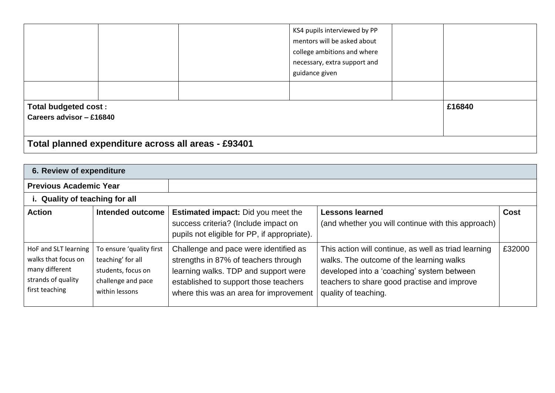|                                                         |  |  | KS4 pupils interviewed by PP<br>mentors will be asked about<br>college ambitions and where<br>necessary, extra support and<br>guidance given |  |        |
|---------------------------------------------------------|--|--|----------------------------------------------------------------------------------------------------------------------------------------------|--|--------|
|                                                         |  |  |                                                                                                                                              |  |        |
| <b>Total budgeted cost:</b><br>Careers advisor - £16840 |  |  |                                                                                                                                              |  | £16840 |
| Total planned expenditure across all areas - £93401     |  |  |                                                                                                                                              |  |        |

| 6. Review of expenditure                                                                              |                                                                                                             |                                                                                                                                                                                                          |                                                                                                                                                                                                                       |             |  |  |
|-------------------------------------------------------------------------------------------------------|-------------------------------------------------------------------------------------------------------------|----------------------------------------------------------------------------------------------------------------------------------------------------------------------------------------------------------|-----------------------------------------------------------------------------------------------------------------------------------------------------------------------------------------------------------------------|-------------|--|--|
| <b>Previous Academic Year</b>                                                                         |                                                                                                             |                                                                                                                                                                                                          |                                                                                                                                                                                                                       |             |  |  |
| i. Quality of teaching for all                                                                        |                                                                                                             |                                                                                                                                                                                                          |                                                                                                                                                                                                                       |             |  |  |
| <b>Action</b>                                                                                         | Intended outcome                                                                                            | <b>Estimated impact:</b> Did you meet the<br>success criteria? (Include impact on<br>pupils not eligible for PP, if appropriate).                                                                        | <b>Lessons learned</b><br>(and whether you will continue with this approach)                                                                                                                                          | <b>Cost</b> |  |  |
| HoF and SLT learning<br>walks that focus on<br>many different<br>strands of quality<br>first teaching | To ensure 'quality first<br>teaching' for all<br>students, focus on<br>challenge and pace<br>within lessons | Challenge and pace were identified as<br>strengths in 87% of teachers through<br>learning walks. TDP and support were<br>established to support those teachers<br>where this was an area for improvement | This action will continue, as well as triad learning<br>walks. The outcome of the learning walks<br>developed into a 'coaching' system between<br>teachers to share good practise and improve<br>quality of teaching. | £32000      |  |  |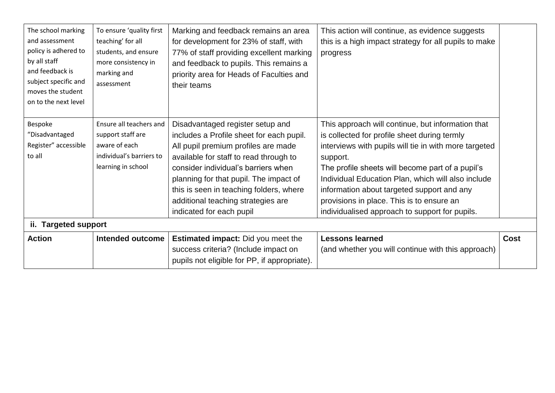| The school marking<br>and assessment<br>policy is adhered to<br>by all staff<br>and feedback is<br>subject specific and<br>moves the student<br>on to the next level | To ensure 'quality first<br>teaching' for all<br>students, and ensure<br>more consistency in<br>marking and<br>assessment | Marking and feedback remains an area<br>for development for 23% of staff, with<br>77% of staff providing excellent marking<br>and feedback to pupils. This remains a<br>priority area for Heads of Faculties and<br>their teams                                                                                                                             | This action will continue, as evidence suggests<br>this is a high impact strategy for all pupils to make<br>progress                                                                                                                                                                                                                                                                                                          |      |
|----------------------------------------------------------------------------------------------------------------------------------------------------------------------|---------------------------------------------------------------------------------------------------------------------------|-------------------------------------------------------------------------------------------------------------------------------------------------------------------------------------------------------------------------------------------------------------------------------------------------------------------------------------------------------------|-------------------------------------------------------------------------------------------------------------------------------------------------------------------------------------------------------------------------------------------------------------------------------------------------------------------------------------------------------------------------------------------------------------------------------|------|
| Bespoke<br>"Disadvantaged<br>Register" accessible<br>to all                                                                                                          | Ensure all teachers and<br>support staff are<br>aware of each<br>individual's barriers to<br>learning in school           | Disadvantaged register setup and<br>includes a Profile sheet for each pupil.<br>All pupil premium profiles are made<br>available for staff to read through to<br>consider individual's barriers when<br>planning for that pupil. The impact of<br>this is seen in teaching folders, where<br>additional teaching strategies are<br>indicated for each pupil | This approach will continue, but information that<br>is collected for profile sheet during termly<br>interviews with pupils will tie in with more targeted<br>support.<br>The profile sheets will become part of a pupil's<br>Individual Education Plan, which will also include<br>information about targeted support and any<br>provisions in place. This is to ensure an<br>individualised approach to support for pupils. |      |
| ii. Targeted support                                                                                                                                                 |                                                                                                                           |                                                                                                                                                                                                                                                                                                                                                             |                                                                                                                                                                                                                                                                                                                                                                                                                               |      |
| <b>Action</b>                                                                                                                                                        | <b>Intended outcome</b>                                                                                                   | <b>Estimated impact:</b> Did you meet the<br>success criteria? (Include impact on<br>pupils not eligible for PP, if appropriate).                                                                                                                                                                                                                           | <b>Lessons learned</b><br>(and whether you will continue with this approach)                                                                                                                                                                                                                                                                                                                                                  | Cost |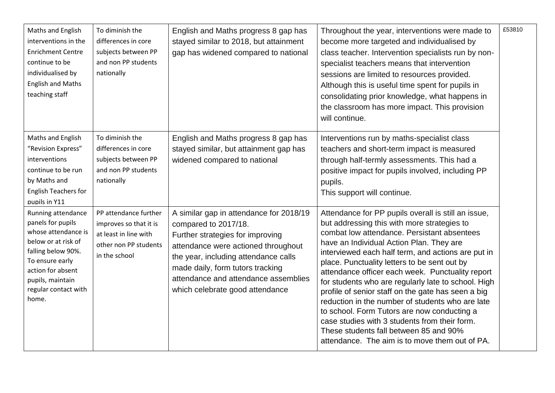| Maths and English<br>interventions in the<br><b>Enrichment Centre</b><br>continue to be<br>individualised by<br><b>English and Maths</b><br>teaching staff                                               | To diminish the<br>differences in core<br>subjects between PP<br>and non PP students<br>nationally                 | English and Maths progress 8 gap has<br>stayed similar to 2018, but attainment<br>gap has widened compared to national                                                                                                                                                                            | Throughout the year, interventions were made to<br>become more targeted and individualised by<br>class teacher. Intervention specialists run by non-<br>specialist teachers means that intervention<br>sessions are limited to resources provided.<br>Although this is useful time spent for pupils in<br>consolidating prior knowledge, what happens in<br>the classroom has more impact. This provision<br>will continue.                                                                                                                                                                                                                                                                                          | £53810 |
|----------------------------------------------------------------------------------------------------------------------------------------------------------------------------------------------------------|--------------------------------------------------------------------------------------------------------------------|---------------------------------------------------------------------------------------------------------------------------------------------------------------------------------------------------------------------------------------------------------------------------------------------------|----------------------------------------------------------------------------------------------------------------------------------------------------------------------------------------------------------------------------------------------------------------------------------------------------------------------------------------------------------------------------------------------------------------------------------------------------------------------------------------------------------------------------------------------------------------------------------------------------------------------------------------------------------------------------------------------------------------------|--------|
| Maths and English<br>"Revision Express"<br>interventions<br>continue to be run<br>by Maths and<br><b>English Teachers for</b><br>pupils in Y11                                                           | To diminish the<br>differences in core<br>subjects between PP<br>and non PP students<br>nationally                 | English and Maths progress 8 gap has<br>stayed similar, but attainment gap has<br>widened compared to national                                                                                                                                                                                    | Interventions run by maths-specialist class<br>teachers and short-term impact is measured<br>through half-termly assessments. This had a<br>positive impact for pupils involved, including PP<br>pupils.<br>This support will continue.                                                                                                                                                                                                                                                                                                                                                                                                                                                                              |        |
| Running attendance<br>panels for pupils<br>whose attendance is<br>below or at risk of<br>falling below 90%.<br>To ensure early<br>action for absent<br>pupils, maintain<br>regular contact with<br>home. | PP attendance further<br>improves so that it is<br>at least in line with<br>other non PP students<br>in the school | A similar gap in attendance for 2018/19<br>compared to 2017/18.<br>Further strategies for improving<br>attendance were actioned throughout<br>the year, including attendance calls<br>made daily, form tutors tracking<br>attendance and attendance assemblies<br>which celebrate good attendance | Attendance for PP pupils overall is still an issue,<br>but addressing this with more strategies to<br>combat low attendance. Persistant absentees<br>have an Individual Action Plan. They are<br>interviewed each half term, and actions are put in<br>place. Punctuality letters to be sent out by<br>attendance officer each week. Punctuality report<br>for students who are regularly late to school. High<br>profile of senior staff on the gate has seen a big<br>reduction in the number of students who are late<br>to school. Form Tutors are now conducting a<br>case studies with 3 students from their form.<br>These students fall between 85 and 90%<br>attendance. The aim is to move them out of PA. |        |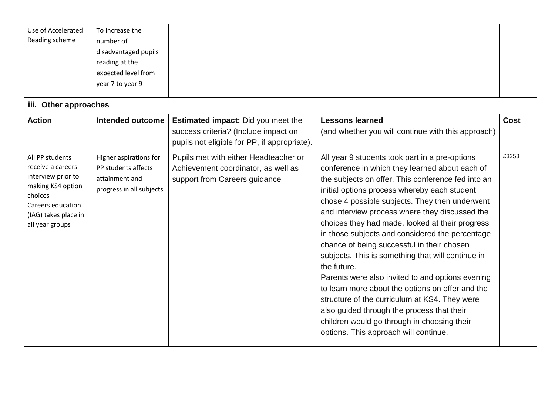| Use of Accelerated<br>Reading scheme                                                                                                                       | To increase the<br>number of<br>disadvantaged pupils<br>reading at the<br>expected level from<br>year 7 to year 9 |                                                                                                                                   |                                                                                                                                                                                                                                                                                                                                                                                                                                                                                                                                                                                                                                                                                                                                                                                                                                   |             |
|------------------------------------------------------------------------------------------------------------------------------------------------------------|-------------------------------------------------------------------------------------------------------------------|-----------------------------------------------------------------------------------------------------------------------------------|-----------------------------------------------------------------------------------------------------------------------------------------------------------------------------------------------------------------------------------------------------------------------------------------------------------------------------------------------------------------------------------------------------------------------------------------------------------------------------------------------------------------------------------------------------------------------------------------------------------------------------------------------------------------------------------------------------------------------------------------------------------------------------------------------------------------------------------|-------------|
| iii. Other approaches                                                                                                                                      |                                                                                                                   |                                                                                                                                   |                                                                                                                                                                                                                                                                                                                                                                                                                                                                                                                                                                                                                                                                                                                                                                                                                                   |             |
| <b>Action</b>                                                                                                                                              | Intended outcome                                                                                                  | <b>Estimated impact:</b> Did you meet the<br>success criteria? (Include impact on<br>pupils not eligible for PP, if appropriate). | <b>Lessons learned</b><br>(and whether you will continue with this approach)                                                                                                                                                                                                                                                                                                                                                                                                                                                                                                                                                                                                                                                                                                                                                      | <b>Cost</b> |
| All PP students<br>receive a careers<br>interview prior to<br>making KS4 option<br>choices<br>Careers education<br>(IAG) takes place in<br>all year groups | Higher aspirations for<br>PP students affects<br>attainment and<br>progress in all subjects                       | Pupils met with either Headteacher or<br>Achievement coordinator, as well as<br>support from Careers guidance                     | All year 9 students took part in a pre-options<br>conference in which they learned about each of<br>the subjects on offer. This conference fed into an<br>initial options process whereby each student<br>chose 4 possible subjects. They then underwent<br>and interview process where they discussed the<br>choices they had made, looked at their progress<br>in those subjects and considered the percentage<br>chance of being successful in their chosen<br>subjects. This is something that will continue in<br>the future.<br>Parents were also invited to and options evening<br>to learn more about the options on offer and the<br>structure of the curriculum at KS4. They were<br>also guided through the process that their<br>children would go through in choosing their<br>options. This approach will continue. | £3253       |